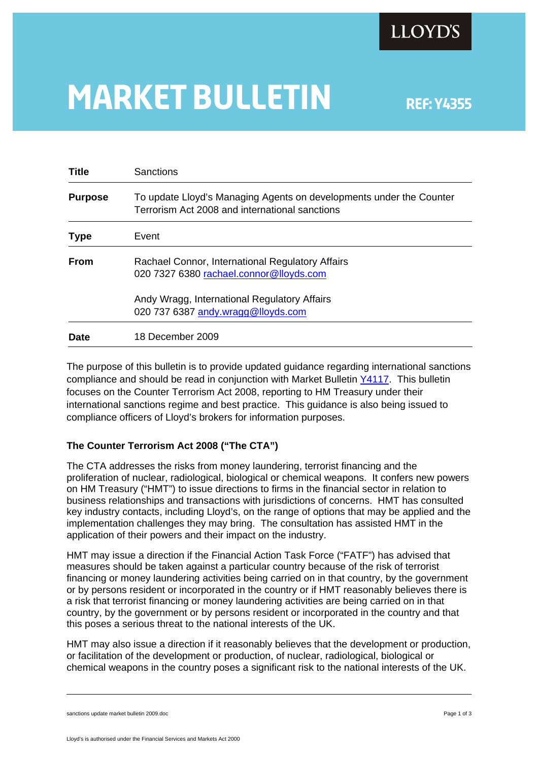

# **MARKET BULLETIN** REF: Y4355

| <b>Title</b>   | Sanctions                                                                                                             |
|----------------|-----------------------------------------------------------------------------------------------------------------------|
| <b>Purpose</b> | To update Lloyd's Managing Agents on developments under the Counter<br>Terrorism Act 2008 and international sanctions |
| <b>Type</b>    | Event                                                                                                                 |
| From           | Rachael Connor, International Regulatory Affairs<br>020 7327 6380 rachael.connor@lloyds.com                           |
|                | Andy Wragg, International Regulatory Affairs<br>020 737 6387 andy.wragg@lloyds.com                                    |
| <b>Date</b>    | 18 December 2009                                                                                                      |

The purpose of this bulletin is to provide updated guidance regarding international sanctions compliance and should be read in conjunction with Market Bulletin [Y4117](http://www.lloyds.com/NR/rdonlyres/CB765865-F244-42E2-B541-890E86CCEAC8/0/Y4117.pdf#search=). This bulletin focuses on the Counter Terrorism Act 2008, reporting to HM Treasury under their international sanctions regime and best practice. This guidance is also being issued to compliance officers of Lloyd's brokers for information purposes.

## **The Counter Terrorism Act 2008 ("The CTA")**

The CTA addresses the risks from money laundering, terrorist financing and the proliferation of nuclear, radiological, biological or chemical weapons. It confers new powers on HM Treasury ("HMT") to issue directions to firms in the financial sector in relation to business relationships and transactions with jurisdictions of concerns. HMT has consulted key industry contacts, including Lloyd's, on the range of options that may be applied and the implementation challenges they may bring. The consultation has assisted HMT in the application of their powers and their impact on the industry.

HMT may issue a direction if the Financial Action Task Force ("FATF") has advised that measures should be taken against a particular country because of the risk of terrorist financing or money laundering activities being carried on in that country, by the government or by persons resident or incorporated in the country or if HMT reasonably believes there is a risk that terrorist financing or money laundering activities are being carried on in that country, by the government or by persons resident or incorporated in the country and that this poses a serious threat to the national interests of the UK.

HMT may also issue a direction if it reasonably believes that the development or production, or facilitation of the development or production, of nuclear, radiological, biological or chemical weapons in the country poses a significant risk to the national interests of the UK.

sanctions update market bulletin 2009.doc **Page 1** of 3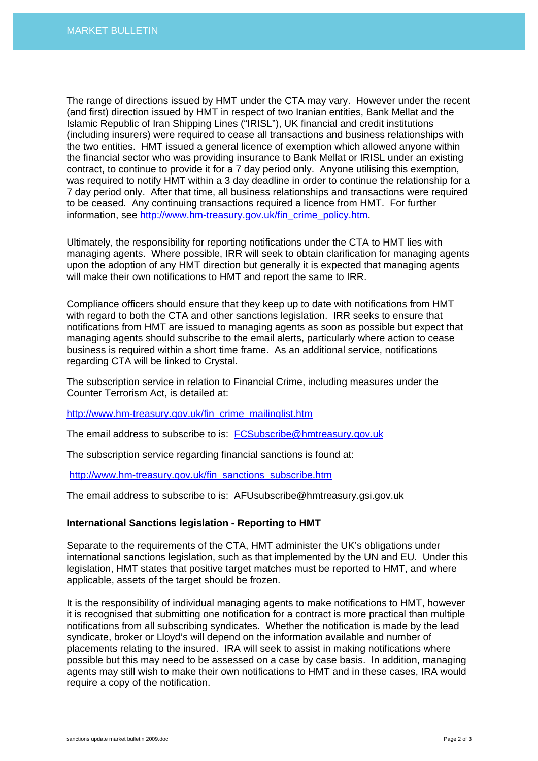The range of directions issued by HMT under the CTA may vary. However under the recent (and first) direction issued by HMT in respect of two Iranian entities, Bank Mellat and the Islamic Republic of Iran Shipping Lines ("IRISL"), UK financial and credit institutions (including insurers) were required to cease all transactions and business relationships with the two entities. HMT issued a general licence of exemption which allowed anyone within the financial sector who was providing insurance to Bank Mellat or IRISL under an existing contract, to continue to provide it for a 7 day period only. Anyone utilising this exemption, was required to notify HMT within a 3 day deadline in order to continue the relationship for a 7 day period only. After that time, all business relationships and transactions were required to be ceased. Any continuing transactions required a licence from HMT. For further information, see [http://www.hm-treasury.gov.uk/fin\\_crime\\_policy.htm.](http://www.hm-treasury.gov.uk/fin_crime_policy.htm)

Ultimately, the responsibility for reporting notifications under the CTA to HMT lies with managing agents. Where possible, IRR will seek to obtain clarification for managing agents upon the adoption of any HMT direction but generally it is expected that managing agents will make their own notifications to HMT and report the same to IRR.

Compliance officers should ensure that they keep up to date with notifications from HMT with regard to both the CTA and other sanctions legislation. IRR seeks to ensure that notifications from HMT are issued to managing agents as soon as possible but expect that managing agents should subscribe to the email alerts, particularly where action to cease business is required within a short time frame. As an additional service, notifications regarding CTA will be linked to Crystal.

The subscription service in relation to Financial Crime, including measures under the Counter Terrorism Act, is detailed at:

[http://www.hm-treasury.gov.uk/fin\\_crime\\_mailinglist.htm](http://www.hm-treasury.gov.uk/fin_crime_mailinglist.htm) 

The email address to subscribe to is: [FCSubscribe@hmtreasury.gov.uk](mailto:FCSubscribe@hm-treasury.gov.uk)

The subscription service regarding financial sanctions is found at:

[http://www.hm-treasury.gov.uk/fin\\_sanctions\\_subscribe.htm](http://www.hm-treasury.gov.uk/fin_sanctions_subscribe.htm)

The email address to subscribe to is: AFUsubscribe@hmtreasury.gsi.gov.uk

### **International Sanctions legislation - Reporting to HMT**

Separate to the requirements of the CTA, HMT administer the UK's obligations under international sanctions legislation, such as that implemented by the UN and EU. Under this legislation, HMT states that positive target matches must be reported to HMT, and where applicable, assets of the target should be frozen.

It is the responsibility of individual managing agents to make notifications to HMT, however it is recognised that submitting one notification for a contract is more practical than multiple notifications from all subscribing syndicates. Whether the notification is made by the lead syndicate, broker or Lloyd's will depend on the information available and number of placements relating to the insured. IRA will seek to assist in making notifications where possible but this may need to be assessed on a case by case basis. In addition, managing agents may still wish to make their own notifications to HMT and in these cases, IRA would require a copy of the notification.